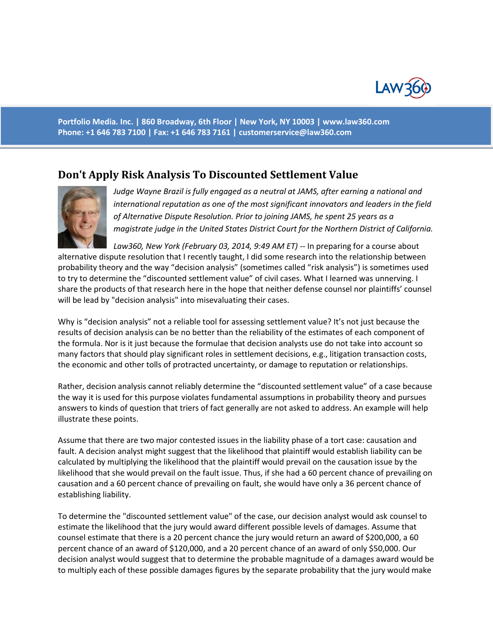

**Portfolio Media. Inc. | 860 Broadway, 6th Floor | New York, NY 10003 | www.law360.com Phone: +1 646 783 7100 | Fax: +1 646 783 7161 | [customerservice@law360.com](mailto:customerservice@law360.com)**

## **Don't Apply Risk Analysis To Discounted Settlement Value**



*Judge Wayne Brazil is fully engaged as a neutral at JAMS, after earning a national and international reputation as one of the most significant innovators and leaders in the field of Alternative Dispute Resolution. Prior to joining JAMS, he spent 25 years as a magistrate judge in the United States District Court for the Northern District of California.*

*Law360, New York (February 03, 2014, 9:49 AM ET)* -- In preparing for a course about alternative dispute resolution that I recently taught, I did some research into the relationship between probability theory and the way "decision analysis" (sometimes called "risk analysis") is sometimes used to try to determine the "discounted settlement value" of civil cases. What I learned was unnerving. I share the products of that research here in the hope that neither defense counsel nor plaintiffs' counsel will be lead by "decision analysis" into misevaluating their cases.

Why is "decision analysis" not a reliable tool for assessing settlement value? It's not just because the results of decision analysis can be no better than the reliability of the estimates of each component of the formula. Nor is it just because the formulae that decision analysts use do not take into account so many factors that should play significant roles in settlement decisions, e.g., litigation transaction costs, the economic and other tolls of protracted uncertainty, or damage to reputation or relationships.

Rather, decision analysis cannot reliably determine the "discounted settlement value" of a case because the way it is used for this purpose violates fundamental assumptions in probability theory and pursues answers to kinds of question that triers of fact generally are not asked to address. An example will help illustrate these points.

Assume that there are two major contested issues in the liability phase of a tort case: causation and fault. A decision analyst might suggest that the likelihood that plaintiff would establish liability can be calculated by multiplying the likelihood that the plaintiff would prevail on the causation issue by the likelihood that she would prevail on the fault issue. Thus, if she had a 60 percent chance of prevailing on causation and a 60 percent chance of prevailing on fault, she would have only a 36 percent chance of establishing liability.

To determine the "discounted settlement value" of the case, our decision analyst would ask counsel to estimate the likelihood that the jury would award different possible levels of damages. Assume that counsel estimate that there is a 20 percent chance the jury would return an award of \$200,000, a 60 percent chance of an award of \$120,000, and a 20 percent chance of an award of only \$50,000. Our decision analyst would suggest that to determine the probable magnitude of a damages award would be to multiply each of these possible damages figures by the separate probability that the jury would make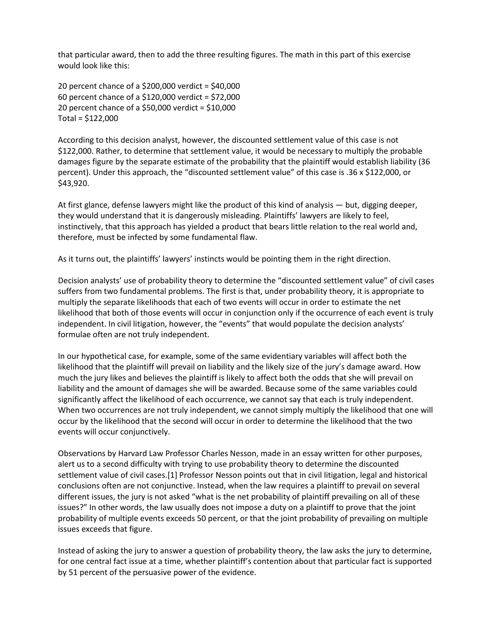that particular award, then to add the three resulting figures. The math in this part of this exercise would look like this:

20 percent chance of a \$200,000 verdict = \$40,000 60 percent chance of a \$120,000 verdict = \$72,000 20 percent chance of a \$50,000 verdict = \$10,000 Total = \$122,000

According to this decision analyst, however, the discounted settlement value of this case is not \$122,000. Rather, to determine that settlement value, it would be necessary to multiply the probable damages figure by the separate estimate of the probability that the plaintiff would establish liability (36 percent). Under this approach, the "discounted settlement value" of this case is .36 x \$122,000, or \$43,920.

At first glance, defense lawyers might like the product of this kind of analysis — but, digging deeper, they would understand that it is dangerously misleading. Plaintiffs' lawyers are likely to feel, instinctively, that this approach has yielded a product that bears little relation to the real world and, therefore, must be infected by some fundamental flaw.

As it turns out, the plaintiffs' lawyers' instincts would be pointing them in the right direction.

Decision analysts' use of probability theory to determine the "discounted settlement value" of civil cases suffers from two fundamental problems. The first is that, under probability theory, it is appropriate to multiply the separate likelihoods that each of two events will occur in order to estimate the net likelihood that both of those events will occur in conjunction only if the occurrence of each event is truly independent. In civil litigation, however, the "events" that would populate the decision analysts' formulae often are not truly independent.

In our hypothetical case, for example, some of the same evidentiary variables will affect both the likelihood that the plaintiff will prevail on liability and the likely size of the jury's damage award. How much the jury likes and believes the plaintiff is likely to affect both the odds that she will prevail on liability and the amount of damages she will be awarded. Because some of the same variables could significantly affect the likelihood of each occurrence, we cannot say that each is truly independent. When two occurrences are not truly independent, we cannot simply multiply the likelihood that one will occur by the likelihood that the second will occur in order to determine the likelihood that the two events will occur conjunctively.

Observations by Harvard Law Professor Charles Nesson, made in an essay written for other purposes, alert us to a second difficulty with trying to use probability theory to determine the discounted settlement value of civil cases.[1] Professor Nesson points out that in civil litigation, legal and historical conclusions often are not conjunctive. Instead, when the law requires a plaintiff to prevail on several different issues, the jury is not asked "what is the net probability of plaintiff prevailing on all of these issues?" In other words, the law usually does not impose a duty on a plaintiff to prove that the joint probability of multiple events exceeds 50 percent, or that the joint probability of prevailing on multiple issues exceeds that figure.

Instead of asking the jury to answer a question of probability theory, the law asks the jury to determine, for one central fact issue at a time, whether plaintiff's contention about that particular fact is supported by 51 percent of the persuasive power of the evidence.